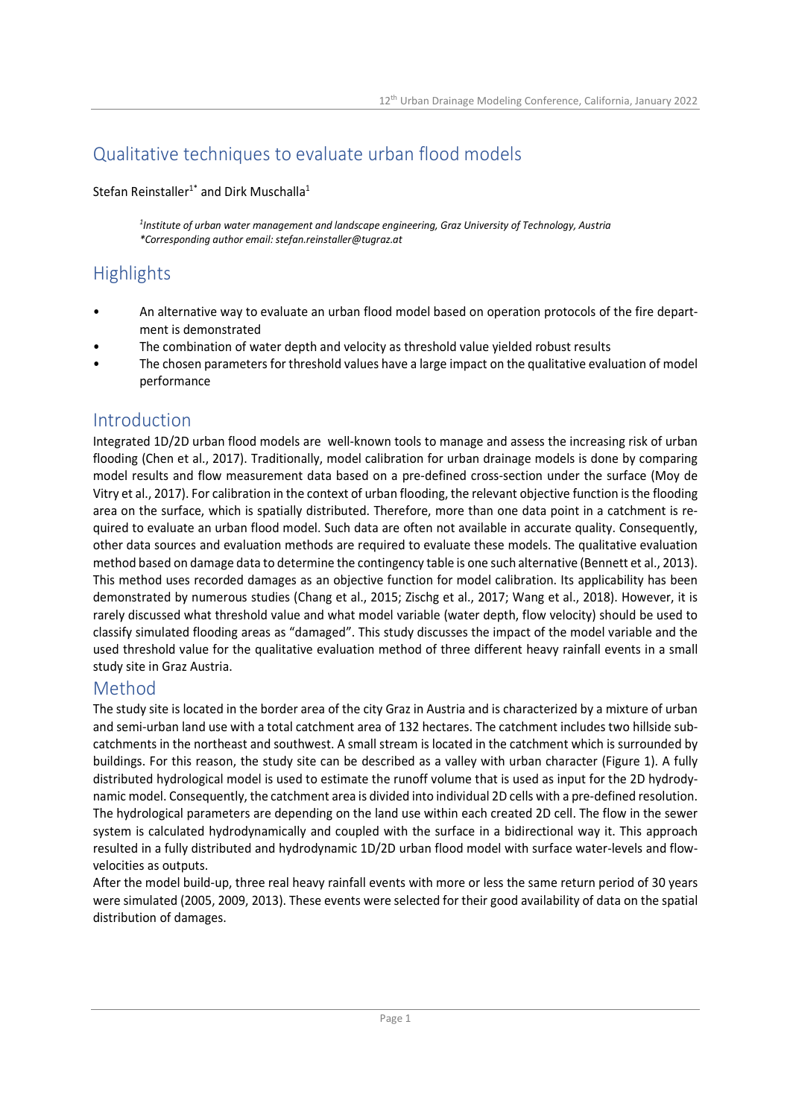# Qualitative techniques to evaluate urban flood models

Stefan Reinstaller<sup>1\*</sup> and Dirk Muschalla<sup>1</sup>

*1 Institute of urban water management and landscape engineering, Graz University of Technology, Austria \*Corresponding author email: stefan.reinstaller@tugraz.at* 

# **Highlights**

- An alternative way to evaluate an urban flood model based on operation protocols of the fire department is demonstrated
- The combination of water depth and velocity as threshold value yielded robust results
- The chosen parameters for threshold values have a large impact on the qualitative evaluation of model performance

#### Introduction

Integrated 1D/2D urban flood models are well-known tools to manage and assess the increasing risk of urban flooding (Chen et al., 2017). Traditionally, model calibration for urban drainage models is done by comparing model results and flow measurement data based on a pre-defined cross-section under the surface (Moy de Vitry et al., 2017). For calibration in the context of urban flooding, the relevant objective function is the flooding area on the surface, which is spatially distributed. Therefore, more than one data point in a catchment is required to evaluate an urban flood model. Such data are often not available in accurate quality. Consequently, other data sources and evaluation methods are required to evaluate these models. The qualitative evaluation method based on damage data to determine the contingency table is one such alternative (Bennett et al., 2013). This method uses recorded damages as an objective function for model calibration. Its applicability has been demonstrated by numerous studies (Chang et al., 2015; Zischg et al., 2017; Wang et al., 2018). However, it is rarely discussed what threshold value and what model variable (water depth, flow velocity) should be used to classify simulated flooding areas as "damaged". This study discusses the impact of the model variable and the used threshold value for the qualitative evaluation method of three different heavy rainfall events in a small study site in Graz Austria.

### Method

The study site is located in the border area of the city Graz in Austria and is characterized by a mixture of urban and semi-urban land use with a total catchment area of 132 hectares. The catchment includes two hillside subcatchments in the northeast and southwest. A small stream is located in the catchment which is surrounded by buildings. For this reason, the study site can be described as a valley with urban character (Figure 1). A fully distributed hydrological model is used to estimate the runoff volume that is used as input for the 2D hydrodynamic model. Consequently, the catchment area is divided into individual 2D cells with a pre-defined resolution. The hydrological parameters are depending on the land use within each created 2D cell. The flow in the sewer system is calculated hydrodynamically and coupled with the surface in a bidirectional way it. This approach resulted in a fully distributed and hydrodynamic 1D/2D urban flood model with surface water-levels and flowvelocities as outputs.

After the model build-up, three real heavy rainfall events with more or less the same return period of 30 years were simulated (2005, 2009, 2013). These events were selected for their good availability of data on the spatial distribution of damages.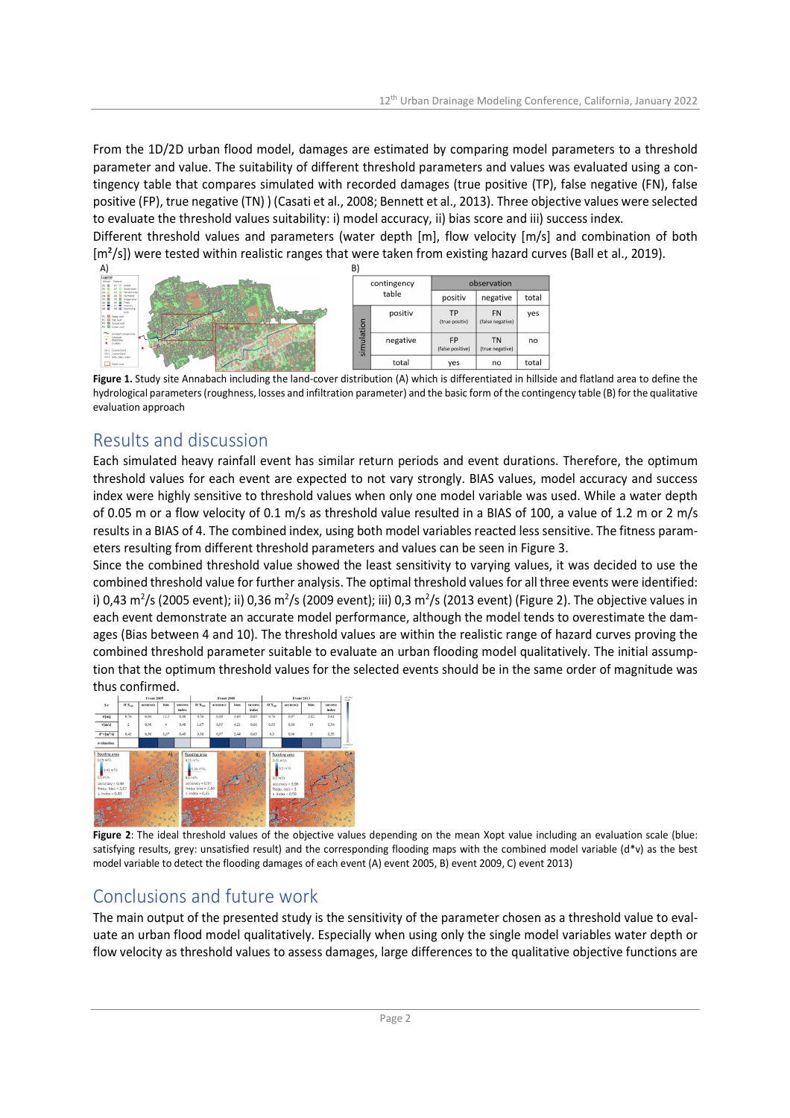From the 1D/2D urban flood model, damages are estimated by comparing model parameters to a threshold parameter and value. The suitability of different threshold parameters and values was evaluated using a contingency table that compares simulated with recorded damages (true positive (TP), false negative (FN), false positive (FP), true negative (TN) ) (Casati et al., 2008; Bennett et al., 2013). Three objective values were selected to evaluate the threshold values suitability: i) model accuracy, ii) bias score and iii) success index.

Different threshold values and parameters (water depth [m], flow velocity [m/s] and combination of both [m<sup>2</sup>/s]) were tested within realistic ranges that were taken from existing hazard curves (Ball et al., 2019).



**Figure 1.** Study site Annabach including the land-cover distribution (A) which is differentiated in hillside and flatland area to define the hydrological parameters (roughness, losses and infiltration parameter) and the basic form of the contingency table (B) for the qualitative evaluation approach

## Results and discussion

Each simulated heavy rainfall event has similar return periods and event durations. Therefore, the optimum threshold values for each event are expected to not vary strongly. BIAS values, model accuracy and success index were highly sensitive to threshold values when only one model variable was used. While a water depth of 0.05 m or a flow velocity of 0.1 m/s as threshold value resulted in a BIAS of 100, a value of 1.2 m or 2 m/s results in a BIAS of 4. The combined index, using both model variables reacted less sensitive. The fitness parameters resulting from different threshold parameters and values can be seen in Figure 3.

Since the combined threshold value showed the least sensitivity to varying values, it was decided to use the combined threshold value for further analysis. The optimal threshold values for all three events were identified: i) 0,43 m<sup>2</sup>/s (2005 event); ii) 0,36 m<sup>2</sup>/s (2009 event); iii) 0,3 m<sup>2</sup>/s (2013 event) (Figure 2). The objective values in each event demonstrate an accurate model performance, although the model tends to overestimate the damages (Bias between 4 and 10). The threshold values are within the realistic range of hazard curves proving the combined threshold parameter suitable to evaluate an urban flooding model qualitatively. The initial assumption that the optimum threshold values for the selected events should be in the same order of magnitude was thus confirmed.



**Figure 2**: The ideal threshold values of the objective values depending on the mean Xopt value including an evaluation scale (blue: satisfying results, grey: unsatisfied result) and the corresponding flooding maps with the combined model variable (d\*v) as the best model variable to detect the flooding damages of each event (A) event 2005, B) event 2009, C) event 2013)

## Conclusions and future work

The main output of the presented study is the sensitivity of the parameter chosen as a threshold value to evaluate an urban flood model qualitatively. Especially when using only the single model variables water depth or flow velocity as threshold values to assess damages, large differences to the qualitative objective functions are